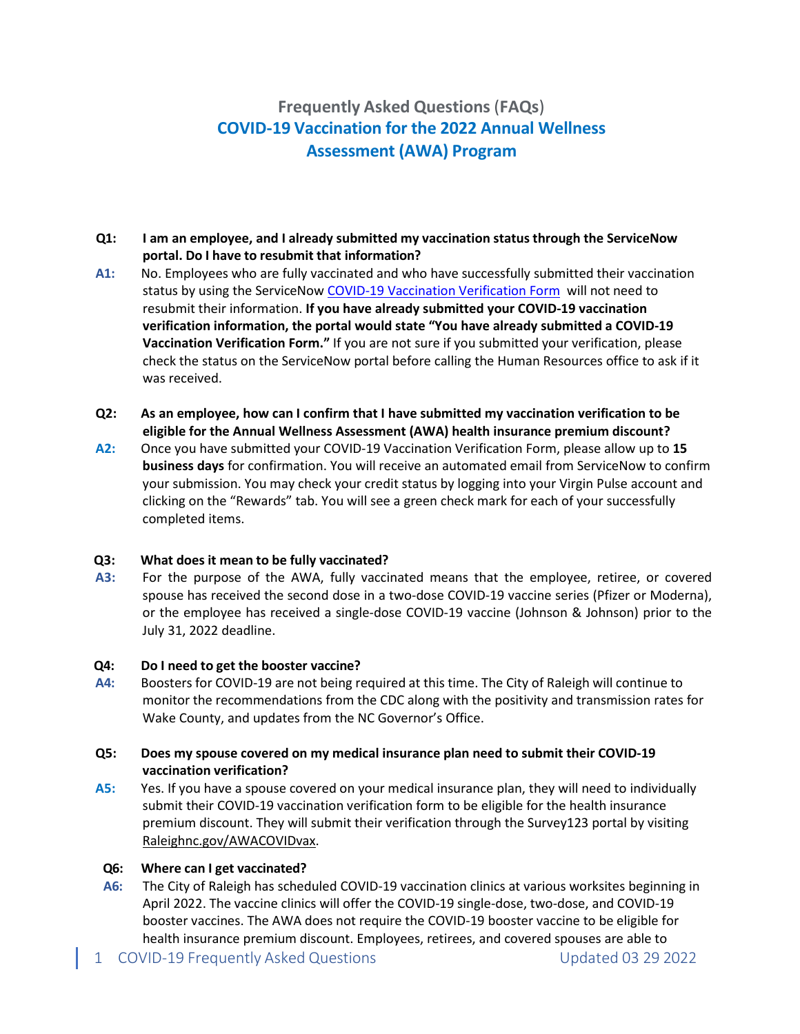# **Frequently Asked Questions**(**FAQs**) **COVID-19 Vaccination for the 2022 Annual Wellness Assessment (AWA) Program**

## **Q1: I am an employee, and I already submitted my vaccination status through the ServiceNow portal. Do I have to resubmit that information?**

- **A1:** No. Employees who are fully vaccinated and who have successfully submitted their vaccination status by using the ServiceNo[w COVID-19 Vaccination Verification Form](https://raleighnc.service-now.com/hr?id=hr_sc_cat_item&sys_id=64986aa51be1e8d0b7e8c9da234bcbee) will not need to resubmit their information. **If you have already submitted your COVID-19 vaccination verification information, the portal would state "You have already submitted a COVID-19 Vaccination Verification Form."** If you are not sure if you submitted your verification, please check the status on the ServiceNow portal before calling the Human Resources office to ask if it was received.
- **Q2: As an employee, how can I confirm that I have submitted my vaccination verification to be eligible for the Annual Wellness Assessment (AWA) health insurance premium discount?**
- **A2:** Once you have submitted your COVID-19 Vaccination Verification Form, please allow up to **15 business days** for confirmation. You will receive an automated email from ServiceNow to confirm your submission. You may check your credit status by logging into your Virgin Pulse account and clicking on the "Rewards" tab. You will see a green check mark for each of your successfully completed items.

#### **Q3: What does it mean to be fully vaccinated?**

**A3:** For the purpose of the AWA, fully vaccinated means that the employee, retiree, or covered spouse has received the second dose in a two-dose COVID-19 vaccine series (Pfizer or Moderna), or the employee has received a single-dose COVID-19 vaccine (Johnson & Johnson) prior to the July 31, 2022 deadline.

#### **Q4: Do I need to get the booster vaccine?**

**A4:** Boosters for COVID-19 are not being required at this time. The City of Raleigh will continue to monitor the recommendations from the CDC along with the positivity and transmission rates for Wake County, and updates from the NC Governor's Office.

#### **Q5: Does my spouse covered on my medical insurance plan need to submit their COVID-19 vaccination verification?**

**A5:** Yes. If you have a spouse covered on your medical insurance plan, they will need to individually submit their COVID-19 vaccination verification form to be eligible for the health insurance premium discount. They will submit their verification through the Survey123 portal by visiting Raleighnc.gov/AWACOVIDvax.

#### **Q6: Where can I get vaccinated?**

- **A6:** The City of Raleigh has scheduled COVID-19 vaccination clinics at various worksites beginning in April 2022. The vaccine clinics will offer the COVID-19 single-dose, two-dose, and COVID-19 booster vaccines. The AWA does not require the COVID-19 booster vaccine to be eligible for health insurance premium discount. Employees, retirees, and covered spouses are able to
- 1 COVID-19 Frequently Asked Questions Updated 03 29 2022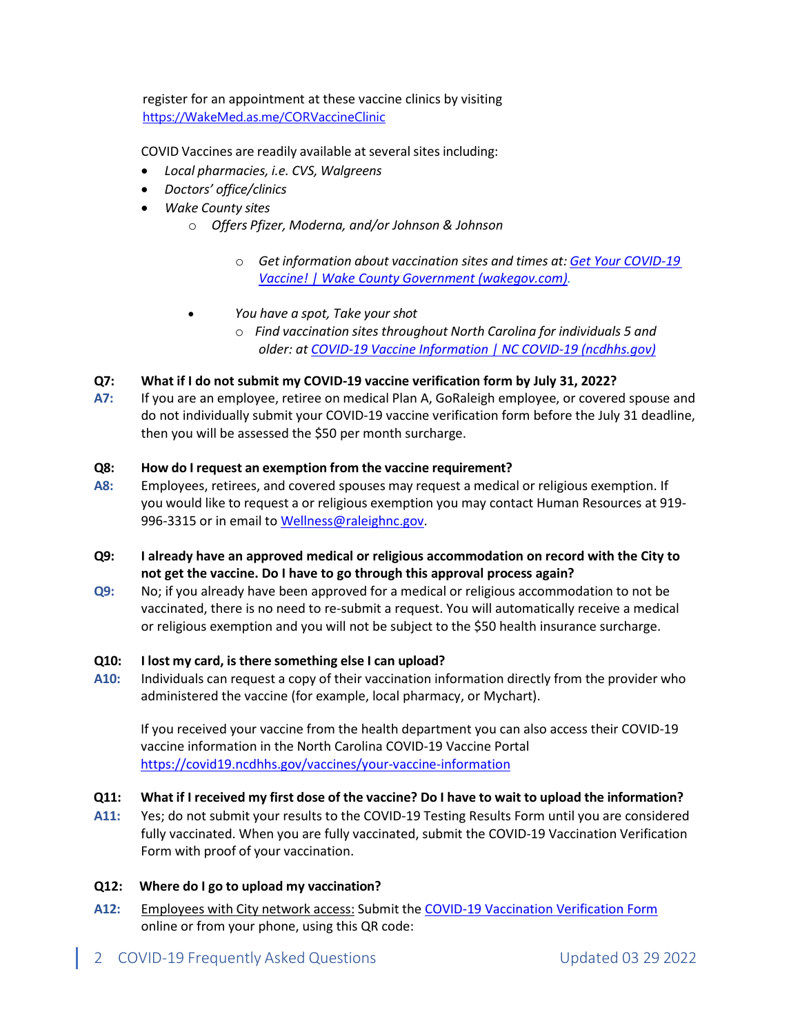register for an appointment at these vaccine clinics by visiting [https://WakeMed.as.me/CORVaccineClinic](https://wakemed.as.me/CORVaccineClinic)

COVID Vaccines are readily available at several sites including:

- *Local pharmacies, i.e. CVS, Walgreens*
- *Doctors' office/clinics*
- *Wake County sites*
	- o *Offers Pfizer, Moderna, and/or Johnson & Johnson*
		- o *Get information about vaccination sites and times at: [Get Your COVID-19](https://www.wakegov.com/covid-19-information/get-your-covid-19-vaccine#:%7E:text=Anyone%20five%20and%20older%20can,for%20those%2018%20and%20older)  [Vaccine! | Wake County Government \(wakegov.com\).](https://www.wakegov.com/covid-19-information/get-your-covid-19-vaccine#:%7E:text=Anyone%20five%20and%20older%20can,for%20those%2018%20and%20older)*
	- *You have a spot, Take your shot*
		- o *Find vaccination sites throughout North Carolina for individuals 5 and older: at [COVID-19 Vaccine Information | NC COVID-19 \(ncdhhs.gov\)](https://covid19.ncdhhs.gov/vaccines#:%7E:text=Call%20the%20NC%20COVID%2D19,or%20send%20us%20a%20message)*

## **Q7: What if I do not submit my COVID-19 vaccine verification form by July 31, 2022?**

**A7:** If you are an employee, retiree on medical Plan A, GoRaleigh employee, or covered spouse and do not individually submit your COVID-19 vaccine verification form before the July 31 deadline, then you will be assessed the \$50 per month surcharge.

#### **Q8: How do I request an exemption from the vaccine requirement?**

- **A8:** Employees, retirees, and covered spouses may request a medical or religious exemption. If you would like to request a or religious exemption you may contact Human Resources at 919- 996-3315 or in email to [Wellness@raleighnc.gov.](mailto:Wellness@raleighnc.gov)
- **Q9: I already have an approved medical or religious accommodation on record with the City to not get the vaccine. Do I have to go through this approval process again?**
- **Q9:** No; if you already have been approved for a medical or religious accommodation to not be vaccinated, there is no need to re-submit a request. You will automatically receive a medical or religious exemption and you will not be subject to the \$50 health insurance surcharge.

#### **Q10: I lost my card, is there something else I can upload?**

**A10:** Individuals can request a copy of their vaccination information directly from the provider who administered the vaccine (for example, local pharmacy, or Mychart).

If you received your vaccine from the health department you can also access their COVID-19 vaccine information in the North Carolina COVID-19 Vaccine Portal <https://covid19.ncdhhs.gov/vaccines/your-vaccine-information>

# Q11: What if I received my first dose of the vaccine? Do I have to wait to upload the information?

**A11:** Yes; do not submit your results to the COVID-19 Testing Results Form until you are considered fully vaccinated. When you are fully vaccinated, submit the COVID-19 Vaccination Verification Form with proof of your vaccination.

#### **Q12: Where do I go to upload my vaccination?**

- **A12:** Employees with City network access: Submit the [COVID-19 Vaccination Verification Form](https://raleighnc.service-now.com/hr?id=hr_sc_cat_item&sys_id=64986aa51be1e8d0b7e8c9da234bcbee) online or from your phone, using this QR code:
- 2 COVID-19 Frequently Asked Questions Updated 03 29 2022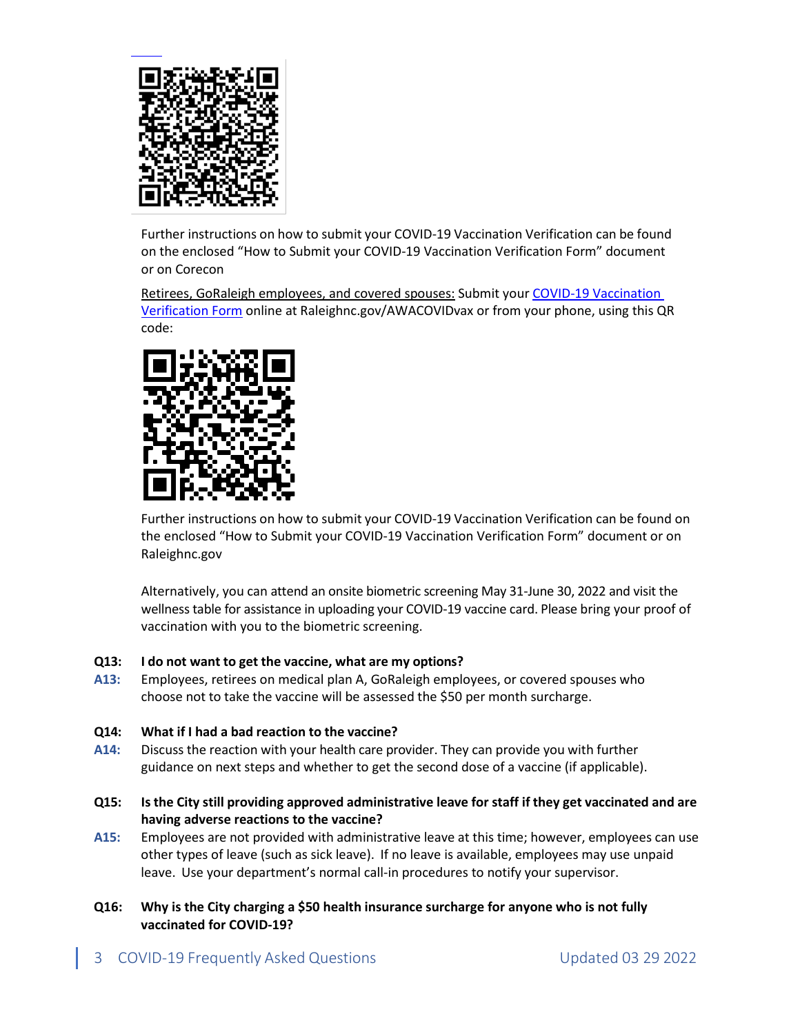

Further instructions on how to submit your COVID-19 Vaccination Verification can be found on the enclosed "How to Submit your COVID-19 Vaccination Verification Form" document or on Corecon

Retirees, GoRaleigh employees, and covered spouses: Submit you[r COVID-19 Vaccination](https://survey123.arcgis.com/share/9b29c73806594bd5b858b48278d0380e)  [Verification Form](https://survey123.arcgis.com/share/9b29c73806594bd5b858b48278d0380e) online at Raleighnc.gov/AWACOVIDvax or from your phone, using this QR code:



Further instructions on how to submit your COVID-19 Vaccination Verification can be found on the enclosed "How to Submit your COVID-19 Vaccination Verification Form" document or on Raleighnc.gov

Alternatively, you can attend an onsite biometric screening May 31-June 30, 2022 and visit the wellness table for assistance in uploading your COVID-19 vaccine card. Please bring your proof of vaccination with you to the biometric screening.

# **Q13: I do not want to get the vaccine, what are my options?**

**A13:** Employees, retirees on medical plan A, GoRaleigh employees, or covered spouses who choose not to take the vaccine will be assessed the \$50 per month surcharge.

#### **Q14: What if I had a bad reaction to the vaccine?**

- **A14:** Discuss the reaction with your health care provider. They can provide you with further guidance on next steps and whether to get the second dose of a vaccine (if applicable).
- **Q15: Is the City still providing approved administrative leave for staff if they get vaccinated and are having adverse reactions to the vaccine?**
- **A15:** Employees are not provided with administrative leave at this time; however, employees can use other types of leave (such as sick leave). If no leave is available, employees may use unpaid leave. Use your department's normal call-in procedures to notify your supervisor.
- **Q16: Why is the City charging a \$50 health insurance surcharge for anyone who is not fully vaccinated for COVID-19?**
- 3 COVID-19 Frequently Asked Questions COVID-19 Frequently Asked Questions